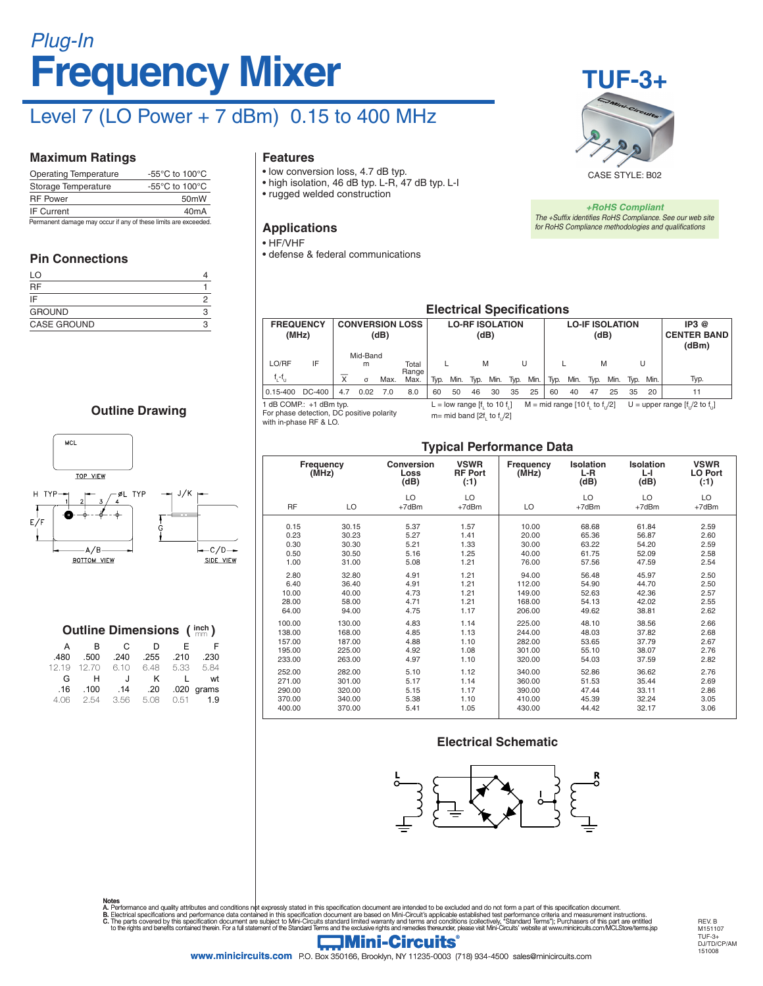# **Frequency Mixer** *Plug-In*

# Level 7 (LO Power + 7 dBm) 0.15 to 400 MHz

#### **Maximum Ratings**

| <b>Operating Temperature</b>                                    | -55 $\mathrm{^{\circ}C}$ to 100 $\mathrm{^{\circ}C}$ |  |  |  |  |  |
|-----------------------------------------------------------------|------------------------------------------------------|--|--|--|--|--|
| Storage Temperature                                             | $-55^{\circ}$ C to 100 $^{\circ}$ C                  |  |  |  |  |  |
| <b>RF Power</b>                                                 | 50 <sub>m</sub> W                                    |  |  |  |  |  |
| <b>IF Current</b>                                               | 40 <sub>m</sub> A                                    |  |  |  |  |  |
| Permanent damage may occur if any of these limits are exceeded. |                                                      |  |  |  |  |  |

#### **Pin Connections**

| LO                 |  |
|--------------------|--|
| <b>RF</b>          |  |
| IF                 |  |
| <b>GROUND</b>      |  |
| <b>CASE GROUND</b> |  |

#### **Outline Drawing**



|       | <b>Outline Dimensions (inch)</b> |         |      |      |       |
|-------|----------------------------------|---------|------|------|-------|
| A     | R                                | C.      | D    | F    | F     |
| .480  | .500                             | .240    | .255 | .210 | .230  |
| 12.19 | 12.70                            | 6.10    | 6.48 | 5.33 | 5.84  |
| G     | н                                | $\cdot$ | κ    |      | wt    |
| .16   | .100                             | .14     | .20  | .020 | grams |
|       | 2.54                             | 3.56    | 5.08 | 0.51 | 1.9   |

#### **Features**

- low conversion loss, 4.7 dB typ.
- high isolation, 46 dB typ. L-R, 47 dB typ. L-I
- rugged welded construction

#### **Applications**

#### • HF/VHF

• defense & federal communications



*+RoHS Compliant The +Suffix identifies RoHS Compliance. See our web site for RoHS Compliance methodologies and qualifications*

#### **Electrical Specifications**

| <b>FREQUENCY</b>                                                   | (MHz)  |                         |                           | (dB)                                                                                    | <b>CONVERSION LOSS</b> | <b>LO-RF ISOLATION</b><br>(dB) |      |                                 |      | <b>LO-IF ISOLATION</b><br>(dB) |           |                                 |      |      |           | IP3@<br><b>CENTER BAND</b><br>(dBm) |      |      |
|--------------------------------------------------------------------|--------|-------------------------|---------------------------|-----------------------------------------------------------------------------------------|------------------------|--------------------------------|------|---------------------------------|------|--------------------------------|-----------|---------------------------------|------|------|-----------|-------------------------------------|------|------|
| LO/RF<br>$f_i - f_{i,j}$                                           | IF     | $\overline{\mathsf{x}}$ | Mid-Band<br>m<br>$\sigma$ | Max.                                                                                    | Total<br>Range<br>Max. | Typ.                           | Min. | M<br>Typ.                       | Min. | Typ.                           | U<br>Min. | Typ.                            | Min. | Tvp. | M<br>Min. | U<br>Tvp.                           | Min. | Typ. |
| $0.15 - 400$                                                       | DC-400 | 4.7                     | 0.02                      | 7.0                                                                                     | 8.0                    | 60                             | 50   | 46                              | 30   | 35                             | 25        | 60                              | 40   | 47   | 25        | 35                                  | 20   | 11   |
| 1 dB COMP: +1 dBm typ.<br>For phase detection DC positive polarity |        |                         |                           | L = low range $[f, to 10 f, ]$<br>in the search in the search in the search of the line |                        |                                |      | $M = mid range [10 f, to f]/2]$ |      |                                |           | U = upper range $[f, 2$ to $f,$ |      |      |           |                                     |      |      |

sitive polarity with in-phase RF & LO.

### m= mid band [2f<sub>L</sub> to f<sub>U</sub>/2]

#### **Typical Performance Data**

| ,,                 |        |                                   |                                      |                    |                                   |                         |                               |  |  |  |
|--------------------|--------|-----------------------------------|--------------------------------------|--------------------|-----------------------------------|-------------------------|-------------------------------|--|--|--|
| Frequency<br>(MHz) |        | <b>Conversion</b><br>Loss<br>(dB) | <b>VSWR</b><br><b>RF Port</b><br>(1) | Frequency<br>(MHz) | <b>Isolation</b><br>$L-R$<br>(dB) | Isolation<br>LН<br>(dB) | <b>VSWR</b><br>LO Port<br>(1) |  |  |  |
| <b>RF</b>          | LO     | LO<br>+7dBm                       | LO<br>+7dBm                          | LO                 | LO<br>+7dBm                       | LO<br>$+7dBr$           | LO<br>+7dBm                   |  |  |  |
| 0.15               | 30.15  | 5.37                              | 1.57                                 | 10.00              | 68.68                             | 61.84                   | 2.59                          |  |  |  |
| 0.23               | 30.23  | 5.27                              | 1.41                                 | 20.00              | 65.36                             | 56.87                   | 2.60                          |  |  |  |
| 0.30               | 30.30  | 5.21                              | 1.33                                 | 30.00              | 63.22                             | 54.20                   | 2.59                          |  |  |  |
| 0.50               | 30.50  | 5.16                              | 1.25                                 | 40.00              | 61.75                             | 52.09                   | 2.58                          |  |  |  |
| 1.00               | 31.00  | 5.08                              | 1.21                                 | 76.00              | 57.56                             | 47.59                   | 2.54                          |  |  |  |
| 2.80               | 32.80  | 4.91                              | 1.21                                 | 94.00              | 56.48                             | 45.97                   | 2.50                          |  |  |  |
| 6.40               | 36.40  | 4.91                              | 1.21                                 | 112.00             | 54.90                             | 44.70                   | 2.50                          |  |  |  |
| 10.00              | 40.00  | 4.73                              | 1.21                                 | 149.00             | 52.63                             | 42.36                   | 2.57                          |  |  |  |
| 28.00              | 58.00  | 4.71                              | 1.21                                 | 168.00             | 54.13                             | 42.02                   | 2.55                          |  |  |  |
| 64.00              | 94.00  | 4.75                              | 1.17                                 | 206.00             | 49.62                             | 38.81                   | 2.62                          |  |  |  |
| 100.00             | 130.00 | 4.83                              | 1.14                                 | 225.00             | 48.10                             | 38.56                   | 2.66                          |  |  |  |
| 138.00             | 168.00 | 4.85                              | 1.13                                 | 244.00             | 48.03                             | 37.82                   | 2.68                          |  |  |  |
| 157.00             | 187.00 | 4.88                              | 1.10                                 | 282.00             | 53.65                             | 37.79                   | 2.67                          |  |  |  |
| 195.00             | 225.00 | 4.92                              | 1.08                                 | 301.00             | 55.10                             | 38.07                   | 2.76                          |  |  |  |
| 233.00             | 263.00 | 4.97                              | 1.10                                 | 320.00             | 54.03                             | 37.59                   | 2.82                          |  |  |  |
| 252.00             | 282.00 | 5.10                              | 1.12                                 | 340.00             | 52.86                             | 36.62                   | 2.76                          |  |  |  |
| 271.00             | 301.00 | 5.17                              | 1.14                                 | 360.00             | 51.53                             | 35.44                   | 2.69                          |  |  |  |
| 290.00             | 320.00 | 5.15                              | 1.17                                 | 390.00             | 47.44                             | 33.11                   | 2.86                          |  |  |  |
| 370.00             | 340.00 | 5.38                              | 1.10                                 | 410.00             | 45.39                             | 32.24                   | 3.05                          |  |  |  |
| 400.00             | 370.00 | 5.41                              | 1.05                                 | 430.00             | 44.42                             | 32.17                   | 3.06                          |  |  |  |

#### **Electrical Schematic**



Notes<br>A. Performance and quality attributes and conditions not expressly stated in this specification document are intended to be excluded and do not form a part of this specification document.<br>B. Electrical specifications

REV. B M<sub>151107</sub> TUF-3+ DJ/TD/CP/AM 151008



**www.minicircuits.com** P.O. Box 350166, Brooklyn, NY 11235-0003 (718) 934-4500 sales@minicircuits.com